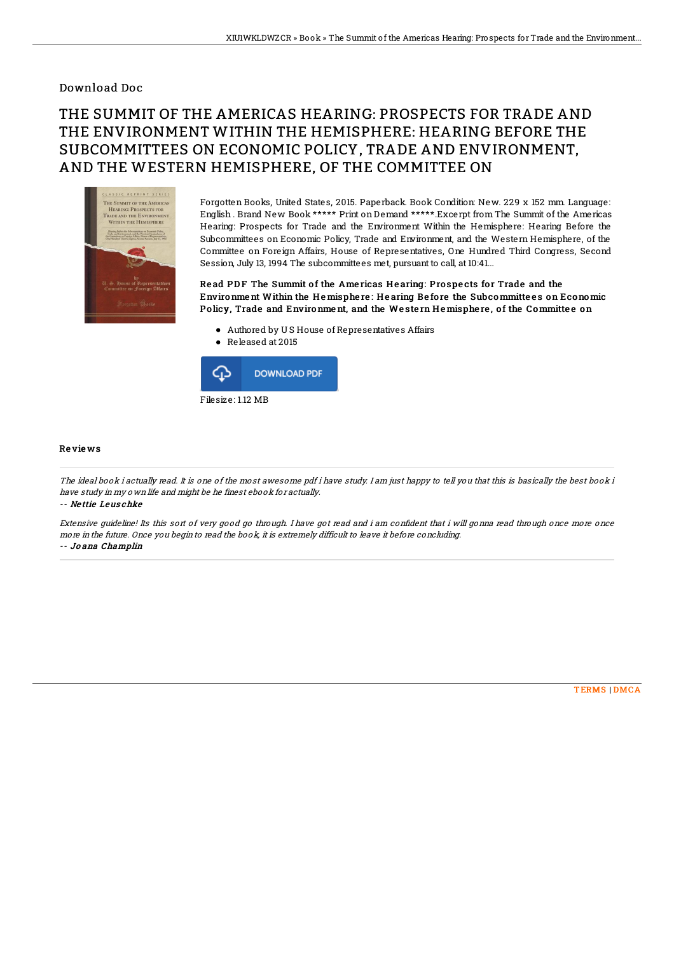## Download Doc

## THE SUMMIT OF THE AMERICAS HEARING: PROSPECTS FOR TRADE AND THE ENVIRONMENT WITHIN THE HEMISPHERE: HEARING BEFORE THE SUBCOMMITTEES ON ECONOMIC POLICY, TRADE AND ENVIRONMENT, AND THE WESTERN HEMISPHERE, OF THE COMMITTEE ON



Forgotten Books, United States, 2015. Paperback. Book Condition: New. 229 x 152 mm. Language: English . Brand New Book \*\*\*\*\* Print on Demand \*\*\*\*\*.Excerpt from The Summit of the Americas Hearing: Prospects for Trade and the Environment Within the Hemisphere: Hearing Before the Subcommittees on Economic Policy, Trade and Environment, and the Western Hemisphere, of the Committee on Foreign Affairs, House of Representatives, One Hundred Third Congress, Second Session, July 13, 1994 The subcommittees met, pursuant to call, at 10:41...

Read PDF The Summit of the Americas Hearing: Prospects for Trade and the Environment Within the Hemisphere: Hearing Before the Subcommittees on Economic Policy, Trade and Environment, and the Western Hemisphere, of the Committee on

- Authored by U S House of Representatives Affairs
- Released at 2015



## Re vie ws

The ideal book i actually read. It is one of the most awesome pdf i have study. I am just happy to tell you that this is basically the best book i have study in my own life and might be he finest ebook for actually.

-- Ne ttie Leus chke

Extensive guideline! Its this sort of very good go through. I have got read and i am confident that i will gonna read through once more once more in the future. Once you begin to read the book, it is extremely difficult to leave it before concluding. -- Jo ana Champlin